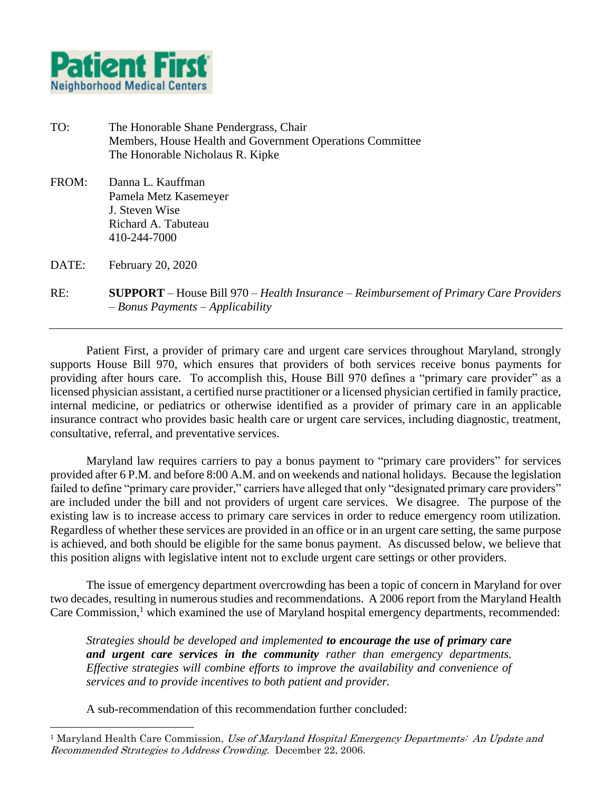

## TO: The Honorable Shane Pendergrass, Chair Members, House Health and Government Operations Committee The Honorable Nicholaus R. Kipke

FROM: Danna L. Kauffman Pamela Metz Kasemeyer J. Steven Wise Richard A. Tabuteau 410-244-7000

DATE: February 20, 2020

l

## RE: **SUPPORT** – House Bill 970 – *Health Insurance* – *Reimbursement of Primary Care Providers* – *Bonus Payments* – *Applicability*

Patient First, a provider of primary care and urgent care services throughout Maryland, strongly supports House Bill 970, which ensures that providers of both services receive bonus payments for providing after hours care. To accomplish this, House Bill 970 defines a "primary care provider" as a licensed physician assistant, a certified nurse practitioner or a licensed physician certified in family practice, internal medicine, or pediatrics or otherwise identified as a provider of primary care in an applicable insurance contract who provides basic health care or urgent care services, including diagnostic, treatment, consultative, referral, and preventative services.

Maryland law requires carriers to pay a bonus payment to "primary care providers" for services provided after 6 P.M. and before 8:00 A.M. and on weekends and national holidays. Because the legislation failed to define "primary care provider," carriers have alleged that only "designated primary care providers" are included under the bill and not providers of urgent care services. We disagree. The purpose of the existing law is to increase access to primary care services in order to reduce emergency room utilization. Regardless of whether these services are provided in an office or in an urgent care setting, the same purpose is achieved, and both should be eligible for the same bonus payment. As discussed below, we believe that this position aligns with legislative intent not to exclude urgent care settings or other providers.

The issue of emergency department overcrowding has been a topic of concern in Maryland for over two decades, resulting in numerous studies and recommendations. A 2006 report from the Maryland Health Care Commission,<sup>1</sup> which examined the use of Maryland hospital emergency departments, recommended:

*Strategies should be developed and implemented to encourage the use of primary care and urgent care services in the community rather than emergency departments. Effective strategies will combine efforts to improve the availability and convenience of services and to provide incentives to both patient and provider.* 

A sub-recommendation of this recommendation further concluded:

<sup>&</sup>lt;sup>1</sup> Maryland Health Care Commission, Use of Maryland Hospital Emergency Departments: An Update and Recommended Strategies to Address Crowding. December 22, 2006.